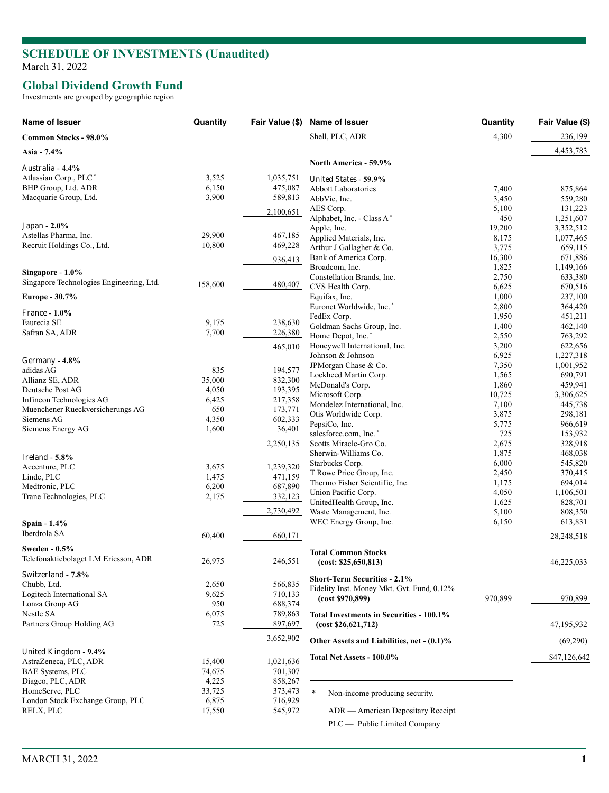## **SCHEDULE OF INVESTMENTS (Unaudited )** March 31, 2022

## **Global Dividend Growth Fund**

Investments are grouped by geographic region

| Name of Issuer                           | Quantity | Fair Value (\$) | Name of Issuer                             | Quantity | Fair Value (\$) |
|------------------------------------------|----------|-----------------|--------------------------------------------|----------|-----------------|
| Common Stocks - 98.0%                    |          |                 | Shell, PLC, ADR                            | 4,300    | 236,199         |
| Asia - 7.4%                              |          |                 |                                            |          | 4,453,783       |
| Australia - 4.4%                         |          |                 | North America - 59.9%                      |          |                 |
| Atlassian Corp., PLC <sup>*</sup>        | 3,525    | 1,035,751       | United States - 59.9%                      |          |                 |
| BHP Group, Ltd. ADR                      | 6,150    | 475,087         | <b>Abbott Laboratories</b>                 | 7,400    | 875,864         |
| Macquarie Group, Ltd.                    | 3,900    | 589,813         | AbbVie, Inc.                               | 3,450    | 559,280         |
|                                          |          | 2,100,651       | AES Corp.                                  | 5,100    | 131,223         |
|                                          |          |                 | Alphabet, Inc. - Class A*                  | 450      | 1,251,607       |
| Japan - 2.0%                             |          |                 | Apple, Inc.                                | 19,200   | 3,352,512       |
| Astellas Pharma, Inc.                    | 29,900   | 467,185         | Applied Materials, Inc.                    | 8,175    | 1,077,465       |
| Recruit Holdings Co., Ltd.               | 10,800   | 469,228         | Arthur J Gallagher & Co.                   | 3,775    | 659,115         |
|                                          |          | 936,413         | Bank of America Corp.                      | 16,300   | 671,886         |
|                                          |          |                 | Broadcom, Inc.                             | 1,825    | 1,149,166       |
| Singapore - 1.0%                         |          |                 | Constellation Brands, Inc.                 | 2,750    | 633,380         |
| Singapore Technologies Engineering, Ltd. | 158,600  | 480,407         | CVS Health Corp.                           | 6,625    | 670,516         |
| Europe - 30.7%                           |          |                 | Equifax, Inc.                              | 1,000    | 237,100         |
|                                          |          |                 | Euronet Worldwide, Inc.*                   | 2,800    | 364,420         |
| <b>France - 1.0%</b>                     |          |                 | FedEx Corp.                                | 1,950    | 451,211         |
| Faurecia SE                              | 9,175    | 238,630         | Goldman Sachs Group, Inc.                  | 1,400    | 462,140         |
| Safran SA, ADR                           | 7,700    | 226,380         | Home Depot, Inc.*                          | 2,550    | 763,292         |
|                                          |          |                 | Honeywell International, Inc.              | 3,200    | 622,656         |
|                                          |          | 465,010         | Johnson & Johnson                          | 6,925    | 1,227,318       |
| Germany - $4.8\%$                        |          |                 | JPMorgan Chase & Co.                       | 7,350    | 1,001,952       |
| adidas AG                                | 835      | 194,577         | Lockheed Martin Corp.                      | 1,565    | 690,791         |
| Allianz SE, ADR                          | 35,000   | 832,300         |                                            |          |                 |
| Deutsche Post AG                         | 4,050    | 193,395         | McDonald's Corp.                           | 1,860    | 459,941         |
| Infineon Technologies AG                 | 6,425    | 217,358         | Microsoft Corp.                            | 10,725   | 3,306,625       |
| Muenchener Rueckversicherungs AG         | 650      | 173,771         | Mondelez International, Inc.               | 7,100    | 445,738         |
| Siemens AG                               | 4,350    | 602,333         | Otis Worldwide Corp.                       | 3,875    | 298,181         |
| Siemens Energy AG                        | 1,600    | 36,401          | PepsiCo, Inc.                              | 5,775    | 966,619         |
|                                          |          |                 | salesforce.com, Inc.*                      | 725      | 153,932         |
|                                          |          | 2,250,135       | Scotts Miracle-Gro Co.                     | 2,675    | 328,918         |
| Ireland $-5.8\%$                         |          |                 | Sherwin-Williams Co.                       | 1,875    | 468,038         |
| Accenture, PLC                           | 3,675    | 1,239,320       | Starbucks Corp.                            | 6,000    | 545,820         |
| Linde, PLC                               | 1,475    | 471,159         | T Rowe Price Group, Inc.                   | 2,450    | 370,415         |
| Medtronic, PLC                           | 6,200    | 687,890         | Thermo Fisher Scientific, Inc.             | 1,175    | 694,014         |
| Trane Technologies, PLC                  | 2,175    | 332,123         | Union Pacific Corp.                        | 4,050    | 1,106,501       |
|                                          |          |                 | UnitedHealth Group, Inc.                   | 1,625    | 828,701         |
|                                          |          | 2,730,492       | Waste Management, Inc.                     | 5,100    | 808,350         |
| Spain - 1.4%                             |          |                 | WEC Energy Group, Inc.                     | 6,150    | 613,831         |
| Iberdrola SA                             | 60,400   | 660,171         |                                            |          | 28,248,518      |
| Sweden - 0.5%                            |          |                 |                                            |          |                 |
| Telefonaktiebolaget LM Ericsson, ADR     |          |                 | <b>Total Common Stocks</b>                 |          |                 |
|                                          | 26,975   | 246,551         | (cost: \$25,650,813)                       |          | 46,225,033      |
| Switzerland - 7.8%                       |          |                 | <b>Short-Term Securities - 2.1%</b>        |          |                 |
| Chubb, Ltd.                              | 2,650    | 566,835         | Fidelity Inst. Money Mkt. Gvt. Fund, 0.12% |          |                 |
| Logitech International SA                | 9,625    | 710,133         |                                            | 970,899  |                 |
| Lonza Group AG                           | 950      | 688,374         | (cost \$970,899)                           |          | 970,899         |
| Nestle SA                                | 6,075    | 789,863         | Total Investments in Securities - 100.1%   |          |                 |
| Partners Group Holding AG                | 725      | 897,697         | (cost \$26,621,712)                        |          | 47, 195, 932    |
|                                          |          | 3,652,902       | Other Assets and Liabilities, net - (0.1)% |          | (69,290)        |
| United Kingdom - 9.4%                    |          |                 |                                            |          |                 |
| AstraZeneca, PLC, ADR                    | 15,400   | 1,021,636       | Total Net Assets - 100.0%                  |          | \$47,126,642    |
| <b>BAE Systems, PLC</b>                  | 74,675   | 701,307         |                                            |          |                 |
| Diageo, PLC, ADR                         | 4,225    | 858,267         |                                            |          |                 |
| HomeServe, PLC                           | 33,725   | 373,473         | *                                          |          |                 |
| London Stock Exchange Group, PLC         | 6,875    | 716,929         | Non-income producing security.             |          |                 |
| RELX, PLC                                | 17,550   | 545,972         | ADR — American Depositary Receipt          |          |                 |
|                                          |          |                 | PLC — Public Limited Company               |          |                 |
|                                          |          |                 |                                            |          |                 |